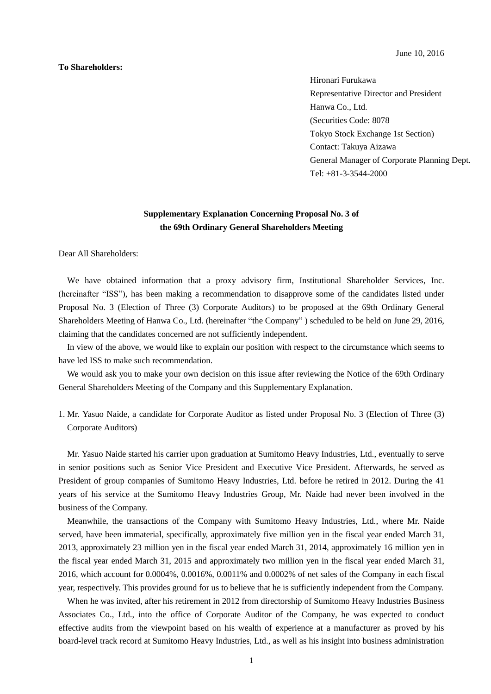## **To Shareholders:**

June 10, 2016

Hironari Furukawa Representative Director and President Hanwa Co., Ltd. (Securities Code: 8078 Tokyo Stock Exchange 1st Section) Contact: Takuya Aizawa General Manager of Corporate Planning Dept. Tel: +81-3-3544-2000

## **Supplementary Explanation Concerning Proposal No. 3 of the 69th Ordinary General Shareholders Meeting**

Dear All Shareholders:

We have obtained information that a proxy advisory firm, Institutional Shareholder Services, Inc. (hereinafter "ISS"), has been making a recommendation to disapprove some of the candidates listed under Proposal No. 3 (Election of Three (3) Corporate Auditors) to be proposed at the 69th Ordinary General Shareholders Meeting of Hanwa Co., Ltd. (hereinafter "the Company" ) scheduled to be held on June 29, 2016, claiming that the candidates concerned are not sufficiently independent.

In view of the above, we would like to explain our position with respect to the circumstance which seems to have led ISS to make such recommendation.

We would ask you to make your own decision on this issue after reviewing the Notice of the 69th Ordinary General Shareholders Meeting of the Company and this Supplementary Explanation.

1. Mr. Yasuo Naide, a candidate for Corporate Auditor as listed under Proposal No. 3 (Election of Three (3) Corporate Auditors)

Mr. Yasuo Naide started his carrier upon graduation at Sumitomo Heavy Industries, Ltd., eventually to serve in senior positions such as Senior Vice President and Executive Vice President. Afterwards, he served as President of group companies of Sumitomo Heavy Industries, Ltd. before he retired in 2012. During the 41 years of his service at the Sumitomo Heavy Industries Group, Mr. Naide had never been involved in the business of the Company.

Meanwhile, the transactions of the Company with Sumitomo Heavy Industries, Ltd., where Mr. Naide served, have been immaterial, specifically, approximately five million yen in the fiscal year ended March 31, 2013, approximately 23 million yen in the fiscal year ended March 31, 2014, approximately 16 million yen in the fiscal year ended March 31, 2015 and approximately two million yen in the fiscal year ended March 31, 2016, which account for 0.0004%, 0.0016%, 0.0011% and 0.0002% of net sales of the Company in each fiscal year, respectively. This provides ground for us to believe that he is sufficiently independent from the Company.

When he was invited, after his retirement in 2012 from directorship of Sumitomo Heavy Industries Business Associates Co., Ltd., into the office of Corporate Auditor of the Company, he was expected to conduct effective audits from the viewpoint based on his wealth of experience at a manufacturer as proved by his board-level track record at Sumitomo Heavy Industries, Ltd., as well as his insight into business administration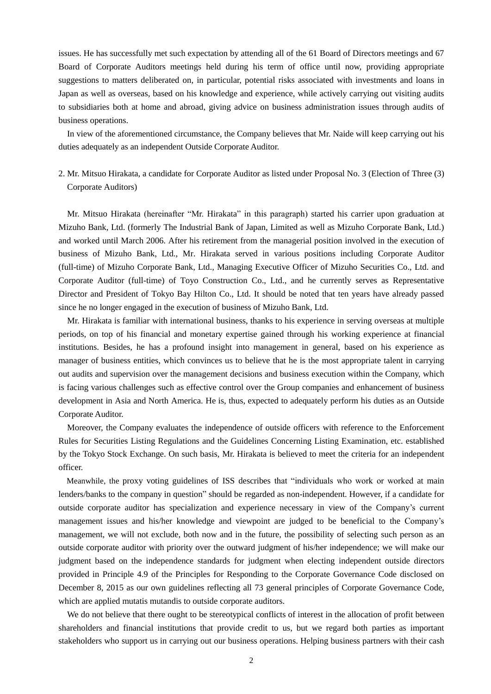issues. He has successfully met such expectation by attending all of the 61 Board of Directors meetings and 67 Board of Corporate Auditors meetings held during his term of office until now, providing appropriate suggestions to matters deliberated on, in particular, potential risks associated with investments and loans in Japan as well as overseas, based on his knowledge and experience, while actively carrying out visiting audits to subsidiaries both at home and abroad, giving advice on business administration issues through audits of business operations.

In view of the aforementioned circumstance, the Company believes that Mr. Naide will keep carrying out his duties adequately as an independent Outside Corporate Auditor.

2. Mr. Mitsuo Hirakata, a candidate for Corporate Auditor as listed under Proposal No. 3 (Election of Three (3) Corporate Auditors)

Mr. Mitsuo Hirakata (hereinafter "Mr. Hirakata" in this paragraph) started his carrier upon graduation at Mizuho Bank, Ltd. (formerly The Industrial Bank of Japan, Limited as well as Mizuho Corporate Bank, Ltd.) and worked until March 2006. After his retirement from the managerial position involved in the execution of business of Mizuho Bank, Ltd., Mr. Hirakata served in various positions including Corporate Auditor (full-time) of Mizuho Corporate Bank, Ltd., Managing Executive Officer of Mizuho Securities Co., Ltd. and Corporate Auditor (full-time) of Toyo Construction Co., Ltd., and he currently serves as Representative Director and President of Tokyo Bay Hilton Co., Ltd. It should be noted that ten years have already passed since he no longer engaged in the execution of business of Mizuho Bank, Ltd.

Mr. Hirakata is familiar with international business, thanks to his experience in serving overseas at multiple periods, on top of his financial and monetary expertise gained through his working experience at financial institutions. Besides, he has a profound insight into management in general, based on his experience as manager of business entities, which convinces us to believe that he is the most appropriate talent in carrying out audits and supervision over the management decisions and business execution within the Company, which is facing various challenges such as effective control over the Group companies and enhancement of business development in Asia and North America. He is, thus, expected to adequately perform his duties as an Outside Corporate Auditor.

Moreover, the Company evaluates the independence of outside officers with reference to the Enforcement Rules for Securities Listing Regulations and the Guidelines Concerning Listing Examination, etc. established by the Tokyo Stock Exchange. On such basis, Mr. Hirakata is believed to meet the criteria for an independent officer.

Meanwhile, the proxy voting guidelines of ISS describes that "individuals who work or worked at main lenders/banks to the company in question" should be regarded as non-independent. However, if a candidate for outside corporate auditor has specialization and experience necessary in view of the Company's current management issues and his/her knowledge and viewpoint are judged to be beneficial to the Company's management, we will not exclude, both now and in the future, the possibility of selecting such person as an outside corporate auditor with priority over the outward judgment of his/her independence; we will make our judgment based on the independence standards for judgment when electing independent outside directors provided in Principle 4.9 of the Principles for Responding to the Corporate Governance Code disclosed on December 8, 2015 as our own guidelines reflecting all 73 general principles of Corporate Governance Code, which are applied mutatis mutandis to outside corporate auditors.

We do not believe that there ought to be stereotypical conflicts of interest in the allocation of profit between shareholders and financial institutions that provide credit to us, but we regard both parties as important stakeholders who support us in carrying out our business operations. Helping business partners with their cash